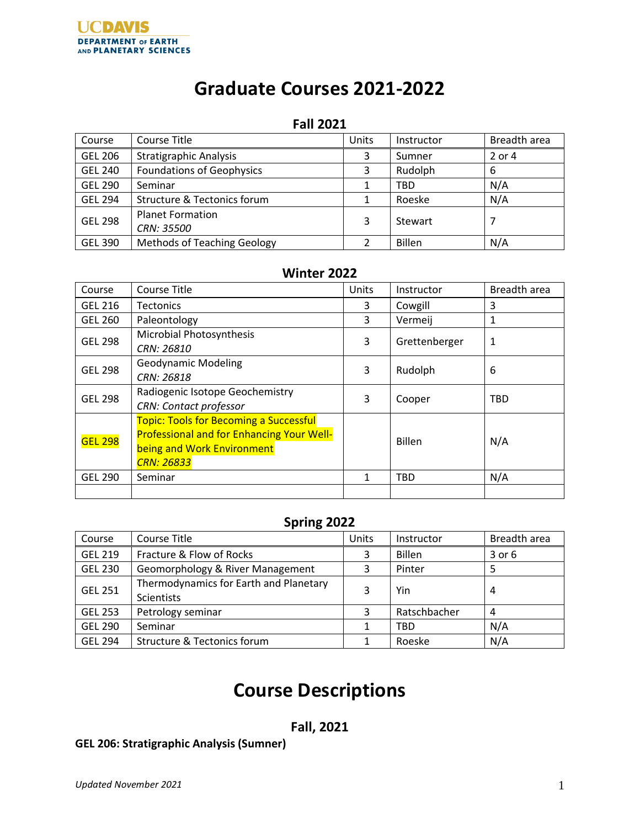# **Graduate Courses 2021-2022**

#### **Fall 2021**

| Course         | Course Title                       | Units | Instructor    | Breadth area |
|----------------|------------------------------------|-------|---------------|--------------|
| <b>GEL 206</b> | <b>Stratigraphic Analysis</b>      | 3     | Sumner        | 2 or 4       |
| <b>GEL 240</b> | <b>Foundations of Geophysics</b>   | 3     | Rudolph       | 6            |
| <b>GEL 290</b> | Seminar                            |       | <b>TBD</b>    | N/A          |
| <b>GEL 294</b> | Structure & Tectonics forum        |       | Roeske        | N/A          |
| <b>GEL 298</b> | <b>Planet Formation</b>            | 3     | Stewart       |              |
|                | CRN: 35500                         |       |               |              |
| <b>GEL 390</b> | <b>Methods of Teaching Geology</b> |       | <b>Billen</b> | N/A          |

# **Winter 2022**

| Course         | Course Title                                     | Units | Instructor    | Breadth area |
|----------------|--------------------------------------------------|-------|---------------|--------------|
| <b>GEL 216</b> | <b>Tectonics</b>                                 | 3     | Cowgill       | 3            |
| <b>GEL 260</b> | Paleontology                                     | 3     | Vermeij       | 1            |
| <b>GEL 298</b> | Microbial Photosynthesis                         | 3     | Grettenberger | 1            |
|                | CRN: 26810                                       |       |               |              |
| <b>GEL 298</b> | <b>Geodynamic Modeling</b>                       | 3     | Rudolph       | 6            |
|                | CRN: 26818                                       |       |               |              |
| <b>GEL 298</b> | Radiogenic Isotope Geochemistry                  | 3     | Cooper        | <b>TBD</b>   |
|                | <b>CRN: Contact professor</b>                    |       |               |              |
| <b>GEL 298</b> | <b>Topic: Tools for Becoming a Successful</b>    |       |               | N/A          |
|                | <b>Professional and for Enhancing Your Well-</b> |       | <b>Billen</b> |              |
|                | being and Work Environment                       |       |               |              |
|                | <b>CRN: 26833</b>                                |       |               |              |
| <b>GEL 290</b> | Seminar                                          | 1     | <b>TBD</b>    | N/A          |
|                |                                                  |       |               |              |

## **Spring 2022**

| Course         | Course Title                           | Units | Instructor    | Breadth area |
|----------------|----------------------------------------|-------|---------------|--------------|
| <b>GEL 219</b> | Fracture & Flow of Rocks               | 3     | <b>Billen</b> | 3 or 6       |
| <b>GEL 230</b> | Geomorphology & River Management       | 3     | Pinter        |              |
| <b>GEL 251</b> | Thermodynamics for Earth and Planetary | 3     | Yin           | 4            |
|                | Scientists                             |       |               |              |
| <b>GEL 253</b> | Petrology seminar                      | 3     | Ratschbacher  | 4            |
| <b>GEL 290</b> | Seminar                                |       | <b>TBD</b>    | N/A          |
| <b>GEL 294</b> | Structure & Tectonics forum            |       | Roeske        | N/A          |

# **Course Descriptions**

# **Fall, 2021**

## **GEL 206: Stratigraphic Analysis (Sumner)**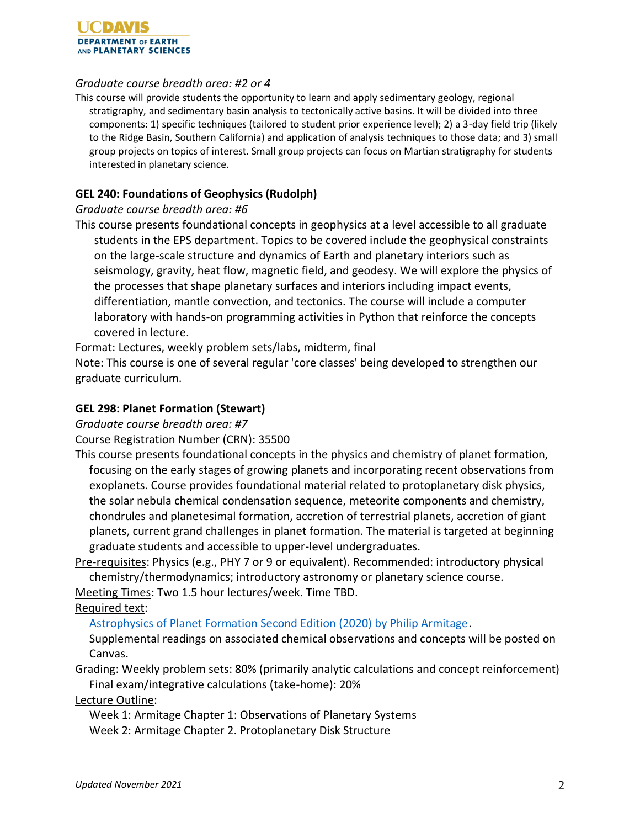

#### *Graduate course breadth area: #2 or 4*

This course will provide students the opportunity to learn and apply sedimentary geology, regional stratigraphy, and sedimentary basin analysis to tectonically active basins. It will be divided into three components: 1) specific techniques (tailored to student prior experience level); 2) a 3-day field trip (likely to the Ridge Basin, Southern California) and application of analysis techniques to those data; and 3) small group projects on topics of interest. Small group projects can focus on Martian stratigraphy for students interested in planetary science.

#### **GEL 240: Foundations of Geophysics (Rudolph)**

#### *Graduate course breadth area: #6*

This course presents foundational concepts in geophysics at a level accessible to all graduate students in the EPS department. Topics to be covered include the geophysical constraints on the large-scale structure and dynamics of Earth and planetary interiors such as seismology, gravity, heat flow, magnetic field, and geodesy. We will explore the physics of the processes that shape planetary surfaces and interiors including impact events, differentiation, mantle convection, and tectonics. The course will include a computer laboratory with hands-on programming activities in Python that reinforce the concepts covered in lecture.

Format: Lectures, weekly problem sets/labs, midterm, final

Note: This course is one of several regular 'core classes' being developed to strengthen our graduate curriculum.

#### **GEL 298: Planet Formation (Stewart)**

*Graduate course breadth area: #7*

Course Registration Number (CRN): 35500

This course presents foundational concepts in the physics and chemistry of planet formation, focusing on the early stages of growing planets and incorporating recent observations from exoplanets. Course provides foundational material related to protoplanetary disk physics, the solar nebula chemical condensation sequence, meteorite components and chemistry, chondrules and planetesimal formation, accretion of terrestrial planets, accretion of giant planets, current grand challenges in planet formation. The material is targeted at beginning graduate students and accessible to upper-level undergraduates.

Pre-requisites: Physics (e.g., PHY 7 or 9 or equivalent). Recommended: introductory physical chemistry/thermodynamics; introductory astronomy or planetary science course.

Meeting Times: Two 1.5 hour lectures/week. Time TBD.

Required text:

[Astrophysics of Planet Formation Second Edition \(2020\) by Philip Armitage.](https://www.amazon.com/Astrophysics-Planet-Formation-Philip-Armitage/dp/1108420508/ref=sr_1_3?dchild=1&keywords=astrophysics+of+planet+formation&qid=1621402618&sr=8-3)

Supplemental readings on associated chemical observations and concepts will be posted on Canvas.

Grading: Weekly problem sets: 80% (primarily analytic calculations and concept reinforcement) Final exam/integrative calculations (take-home): 20%

Lecture Outline:

Week 1: Armitage Chapter 1: Observations of Planetary Systems

Week 2: Armitage Chapter 2. Protoplanetary Disk Structure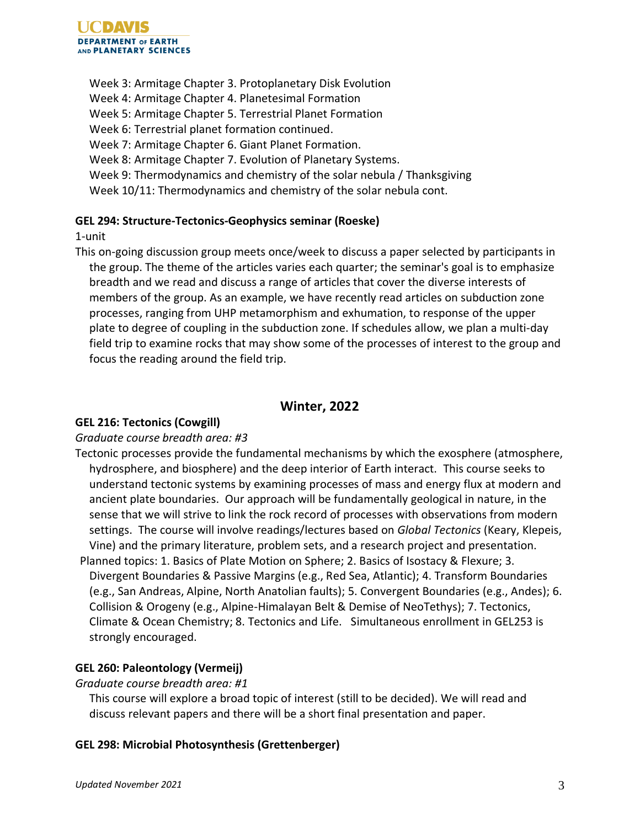Week 3: Armitage Chapter 3. Protoplanetary Disk Evolution Week 4: Armitage Chapter 4. Planetesimal Formation Week 5: Armitage Chapter 5. Terrestrial Planet Formation Week 6: Terrestrial planet formation continued. Week 7: Armitage Chapter 6. Giant Planet Formation. Week 8: Armitage Chapter 7. Evolution of Planetary Systems. Week 9: Thermodynamics and chemistry of the solar nebula / Thanksgiving Week 10/11: Thermodynamics and chemistry of the solar nebula cont.

## **GEL 294: Structure-Tectonics-Geophysics seminar (Roeske)**

1-unit

This on-going discussion group meets once/week to discuss a paper selected by participants in the group. The theme of the articles varies each quarter; the seminar's goal is to emphasize breadth and we read and discuss a range of articles that cover the diverse interests of members of the group. As an example, we have recently read articles on subduction zone processes, ranging from UHP metamorphism and exhumation, to response of the upper plate to degree of coupling in the subduction zone. If schedules allow, we plan a multi-day field trip to examine rocks that may show some of the processes of interest to the group and focus the reading around the field trip.

## **Winter, 2022**

## **GEL 216: Tectonics (Cowgill)**

## *Graduate course breadth area: #3*

- Tectonic processes provide the fundamental mechanisms by which the exosphere (atmosphere, hydrosphere, and biosphere) and the deep interior of Earth interact. This course seeks to understand tectonic systems by examining processes of mass and energy flux at modern and ancient plate boundaries. Our approach will be fundamentally geological in nature, in the sense that we will strive to link the rock record of processes with observations from modern settings. The course will involve readings/lectures based on *Global Tectonics* (Keary, Klepeis, Vine) and the primary literature, problem sets, and a research project and presentation.
- Planned topics: 1. Basics of Plate Motion on Sphere; 2. Basics of Isostacy & Flexure; 3. Divergent Boundaries & Passive Margins (e.g., Red Sea, Atlantic); 4. Transform Boundaries (e.g., San Andreas, Alpine, North Anatolian faults); 5. Convergent Boundaries (e.g., Andes); 6. Collision & Orogeny (e.g., Alpine-Himalayan Belt & Demise of NeoTethys); 7. Tectonics, Climate & Ocean Chemistry; 8. Tectonics and Life. Simultaneous enrollment in GEL253 is strongly encouraged.

## **GEL 260: Paleontology (Vermeij)**

## *Graduate course breadth area: #1*

This course will explore a broad topic of interest (still to be decided). We will read and discuss relevant papers and there will be a short final presentation and paper.

## **GEL 298: Microbial Photosynthesis (Grettenberger)**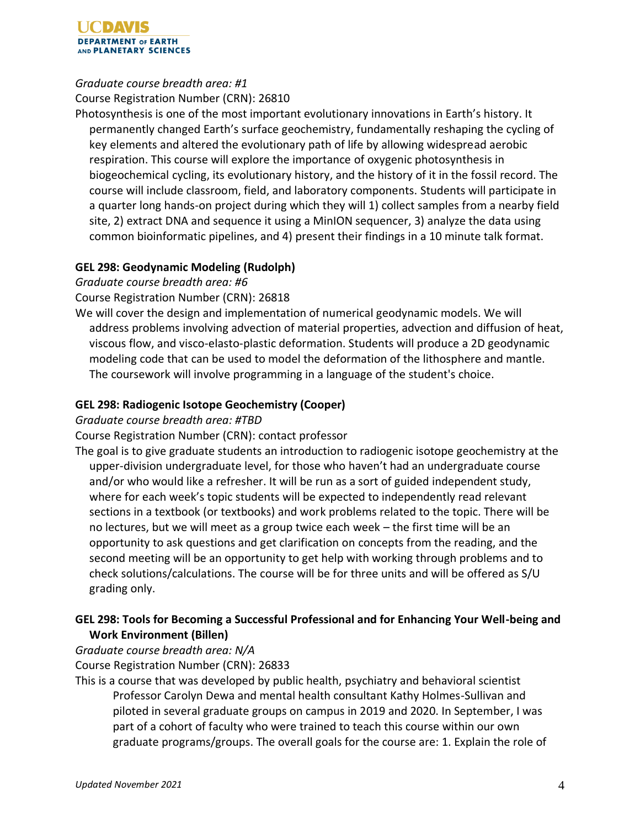#### UCDAVIS **DEPARTMENT OF EARTH** AND PLANETARY SCIENCES

## *Graduate course breadth area: #1*

Course Registration Number (CRN): 26810

Photosynthesis is one of the most important evolutionary innovations in Earth's history. It permanently changed Earth's surface geochemistry, fundamentally reshaping the cycling of key elements and altered the evolutionary path of life by allowing widespread aerobic respiration. This course will explore the importance of oxygenic photosynthesis in biogeochemical cycling, its evolutionary history, and the history of it in the fossil record. The course will include classroom, field, and laboratory components. Students will participate in a quarter long hands-on project during which they will 1) collect samples from a nearby field site, 2) extract DNA and sequence it using a MinION sequencer, 3) analyze the data using common bioinformatic pipelines, and 4) present their findings in a 10 minute talk format.

## **GEL 298: Geodynamic Modeling (Rudolph)**

*Graduate course breadth area: #6*

Course Registration Number (CRN): 26818

We will cover the design and implementation of numerical geodynamic models. We will address problems involving advection of material properties, advection and diffusion of heat, viscous flow, and visco-elasto-plastic deformation. Students will produce a 2D geodynamic modeling code that can be used to model the deformation of the lithosphere and mantle. The coursework will involve programming in a language of the student's choice.

## **GEL 298: Radiogenic Isotope Geochemistry (Cooper)**

*Graduate course breadth area: #TBD*

Course Registration Number (CRN): contact professor

The goal is to give graduate students an introduction to radiogenic isotope geochemistry at the upper-division undergraduate level, for those who haven't had an undergraduate course and/or who would like a refresher. It will be run as a sort of guided independent study, where for each week's topic students will be expected to independently read relevant sections in a textbook (or textbooks) and work problems related to the topic. There will be no lectures, but we will meet as a group twice each week – the first time will be an opportunity to ask questions and get clarification on concepts from the reading, and the second meeting will be an opportunity to get help with working through problems and to check solutions/calculations. The course will be for three units and will be offered as S/U grading only.

## **GEL 298: Tools for Becoming a Successful Professional and for Enhancing Your Well-being and Work Environment (Billen)**

*Graduate course breadth area: N/A*

Course Registration Number (CRN): 26833

This is a course that was developed by public health, psychiatry and behavioral scientist Professor Carolyn Dewa and mental health consultant Kathy Holmes-Sullivan and piloted in several graduate groups on campus in 2019 and 2020. In September, I was part of a cohort of faculty who were trained to teach this course within our own graduate programs/groups. The overall goals for the course are: 1. Explain the role of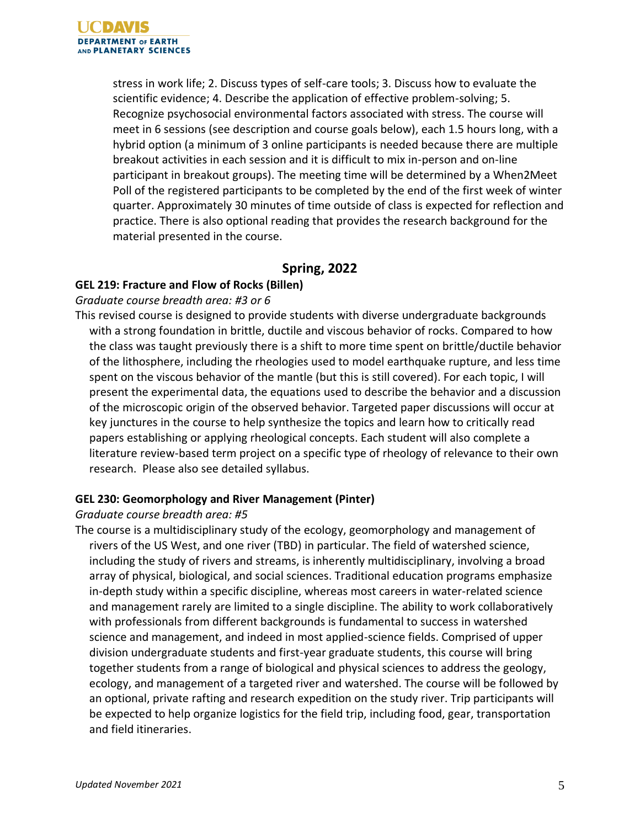stress in work life; 2. Discuss types of self-care tools; 3. Discuss how to evaluate the scientific evidence; 4. Describe the application of effective problem-solving; 5. Recognize psychosocial environmental factors associated with stress. The course will meet in 6 sessions (see description and course goals below), each 1.5 hours long, with a hybrid option (a minimum of 3 online participants is needed because there are multiple breakout activities in each session and it is difficult to mix in-person and on-line participant in breakout groups). The meeting time will be determined by a When2Meet Poll of the registered participants to be completed by the end of the first week of winter quarter. Approximately 30 minutes of time outside of class is expected for reflection and practice. There is also optional reading that provides the research background for the material presented in the course.

## **Spring, 2022**

## **GEL 219: Fracture and Flow of Rocks (Billen)**

#### *Graduate course breadth area: #3 or 6*

This revised course is designed to provide students with diverse undergraduate backgrounds with a strong foundation in brittle, ductile and viscous behavior of rocks. Compared to how the class was taught previously there is a shift to more time spent on brittle/ductile behavior of the lithosphere, including the rheologies used to model earthquake rupture, and less time spent on the viscous behavior of the mantle (but this is still covered). For each topic, I will present the experimental data, the equations used to describe the behavior and a discussion of the microscopic origin of the observed behavior. Targeted paper discussions will occur at key junctures in the course to help synthesize the topics and learn how to critically read papers establishing or applying rheological concepts. Each student will also complete a literature review-based term project on a specific type of rheology of relevance to their own research. Please also see detailed syllabus.

#### **GEL 230: Geomorphology and River Management (Pinter)**

#### *Graduate course breadth area: #5*

The course is a multidisciplinary study of the ecology, geomorphology and management of rivers of the US West, and one river (TBD) in particular. The field of watershed science, including the study of rivers and streams, is inherently multidisciplinary, involving a broad array of physical, biological, and social sciences. Traditional education programs emphasize in-depth study within a specific discipline, whereas most careers in water-related science and management rarely are limited to a single discipline. The ability to work collaboratively with professionals from different backgrounds is fundamental to success in watershed science and management, and indeed in most applied-science fields. Comprised of upper division undergraduate students and first-year graduate students, this course will bring together students from a range of biological and physical sciences to address the geology, ecology, and management of a targeted river and watershed. The course will be followed by an optional, private rafting and research expedition on the study river. Trip participants will be expected to help organize logistics for the field trip, including food, gear, transportation and field itineraries.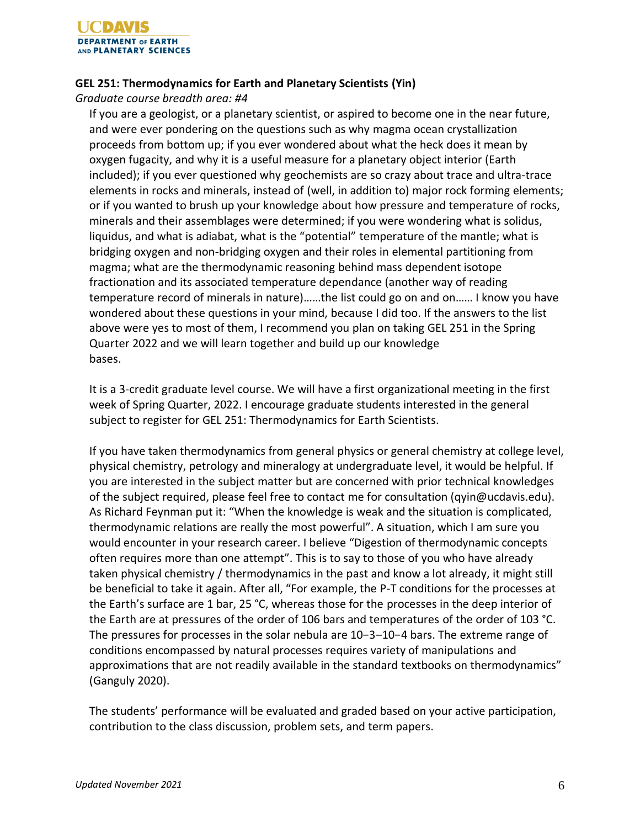

#### **GEL 251: Thermodynamics for Earth and Planetary Scientists (Yin)**

*Graduate course breadth area: #4*

If you are a geologist, or a planetary scientist, or aspired to become one in the near future, and were ever pondering on the questions such as why magma ocean crystallization proceeds from bottom up; if you ever wondered about what the heck does it mean by oxygen fugacity, and why it is a useful measure for a planetary object interior (Earth included); if you ever questioned why geochemists are so crazy about trace and ultra-trace elements in rocks and minerals, instead of (well, in addition to) major rock forming elements; or if you wanted to brush up your knowledge about how pressure and temperature of rocks, minerals and their assemblages were determined; if you were wondering what is solidus, liquidus, and what is adiabat, what is the "potential" temperature of the mantle; what is bridging oxygen and non-bridging oxygen and their roles in elemental partitioning from magma; what are the thermodynamic reasoning behind mass dependent isotope fractionation and its associated temperature dependance (another way of reading temperature record of minerals in nature)……the list could go on and on…… I know you have wondered about these questions in your mind, because I did too. If the answers to the list above were yes to most of them, I recommend you plan on taking GEL 251 in the Spring Quarter 2022 and we will learn together and build up our knowledge bases.

It is a 3-credit graduate level course. We will have a first organizational meeting in the first week of Spring Quarter, 2022. I encourage graduate students interested in the general subject to register for GEL 251: Thermodynamics for Earth Scientists.

If you have taken thermodynamics from general physics or general chemistry at college level, physical chemistry, petrology and mineralogy at undergraduate level, it would be helpful. If you are interested in the subject matter but are concerned with prior technical knowledges of the subject required, please feel free to contact me for consultation (qyin@ucdavis.edu). As Richard Feynman put it: "When the knowledge is weak and the situation is complicated, thermodynamic relations are really the most powerful". A situation, which I am sure you would encounter in your research career. I believe "Digestion of thermodynamic concepts often requires more than one attempt". This is to say to those of you who have already taken physical chemistry / thermodynamics in the past and know a lot already, it might still be beneficial to take it again. After all, "For example, the P-T conditions for the processes at the Earth's surface are 1 bar, 25 °C, whereas those for the processes in the deep interior of the Earth are at pressures of the order of 106 bars and temperatures of the order of 103 °C. The pressures for processes in the solar nebula are 10−3–10−4 bars. The extreme range of conditions encompassed by natural processes requires variety of manipulations and approximations that are not readily available in the standard textbooks on thermodynamics" (Ganguly 2020).

The students' performance will be evaluated and graded based on your active participation, contribution to the class discussion, problem sets, and term papers.